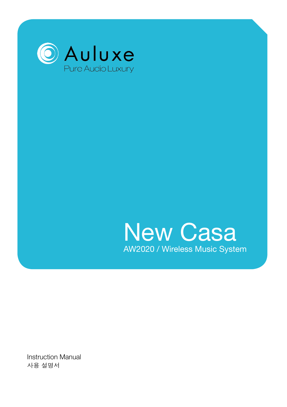



Instruction Manual 사용 설명서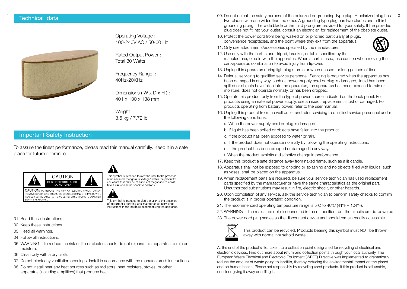

Operating Voltage : 100-240V AC / 50-60 Hz

Rated Output Power : Total 30 Watts

Frequency Range : 40Hz-20KHz

Dimensions ( $W \times D \times H$ ): 401 x 130 x 138 mm

Weight : 3.5 kg / 7.72 lb

#### Important Safety Instruction

To assure the finest performance, please read this manual carefully. Keep it in a safe place for future reference.



NO USER-SERVICEABLE PARTS INSIDE. REFER SERVICING TO QUALIFIED

This symbol is intended to alert the user to the presence of uninsulated "dangerous voltage" within the product's enclosure that may be of sufficient magnitude to constitute a risk of electric shock to persons.

This symbol is intended to alert the user to the presence of important operating and maintenance (servicing) instructions in the literature accompanying the appliance.

01. Read these instructions.

SERVICE PERSONNEL

- 02. Keep these instructions.
- 03. Heed all warnings.
- 04. Follow all instructions.
- 05. WARNING To reduce the risk of fire or electric shock, do not expose this apparatus to rain or moisture.
- 06. Clean only with a dry cloth.
- 07. Do not block any ventilation openings. Install in accordance with the manufacturer's instructions.
- 08. Do not install near any heat sources such as radiators, heat registers, stoves, or other apparatus (including amplifiers) that produce heat.
- 09. Do not defeat the safety purpose of the polarized or grounding-type plug. A polarized plug has 2 two blades with one wider than the other. A grounding type plug has two blades and a third grounding prong. The wide blade or the third prong are provided for your safety. If the provided plug does not fit into your outlet, consult an electrician for replacement of the obsolete outlet.
	- 10. Protect the power cord from being walked on or pinched particularly at plugs, convenience receptacles, and the point where they exit from the apparatus.



- 11. Only use attachments/accessories specified by the manufacturer.
- 12. Use only with the cart, stand, tripod, bracket, or table specified by the manufacturer, or sold with the apparatus. When a cart is used, use caution when moving the cart/apparatus combination to avoid injury from tip-over.
- 13. Unplug this apparatus during lightning storms or when unused for long periods of time.
- 14. Refer all servicing to qualified service personnel. Servicing is required when the apparatus has been damaged in any way, such as power-supply cord or plug is damaged, liquid has been spilled or objects have fallen into the apparatus, the apparatus has been exposed to rain or moisture, does not operate normally, or has been dropped.
- 15. Operate this product only from the type of power source indicated on the back panel. For products using an external power supply, use an exact replacement if lost or damaged. For products operating from battery power, refer to the user manual.
- 16. Unplug this product from the wall outlet and refer servicing to qualified service personnel under the following conditions:
	- a. When the power supply cord or plug is damaged.
	- b. If liquid has been spilled or objects have fallen into the product.
	- c. If the product has been exposed to water or rain.
	- d. If the product does not operate normally by following the operating instructions.
	- e. If the product has been dropped or damaged in any way.
	- f. When the product exhibits a distinctive change in performance.
- 17. Keep this product a safe distance away from naked flame, such as a lit candle.
- 18. Apparatus shall not be exposed to dripping or splashing and no objects filled with liquids, such as vases, shall be placed on the apparatus.
- 19. When replacement parts are required, be sure your service technician has used replacement parts specified by the manufacturer or have the same characteristics as the original part. Unauthorized substitutions may result in fire, electric shock, or other hazards.
- 20. Upon completion of any service, ask the service technician to perform safety checks to confirm the product is in proper operating condition.
- 21. The recommended operating temperature range is 5ºC to 40ºC (41ºF 104ºF).
- 22. WARNING The mains are not disconnected in the off position, but the circuits are de-powered.
- 23. The power cord plug serves as the disconnect device and should remain readily accessible.



This product can be recycled. Products bearing this symbol must NOT be thrown away with normal household waste.

At the end of the product's life, take it to a collection point designated for recycling of electrical and electronic devices. Find out more about return and collection points through your local authority. The European Waste Electrical and Electronic Equipment (WEEE) Directive was implemented to dramatically reduce the amount of waste going to landfills, thereby reducing the environmental impact on the planet and on human health. Please act responsibly by recycling used products. If this product is still usable, consider giving it away or selling it.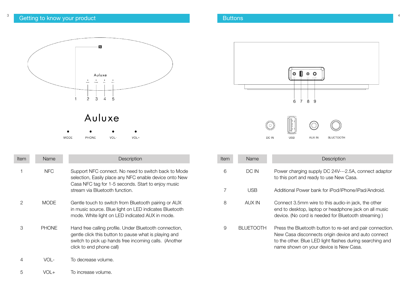## $^3$  . Getting to know your product the state of the state  $\sim$  3  $^4$  . Buttons the state of the state of the state  $^4$



| <b>MODE</b> | <b>PHONE</b> | VOL- | VOL+ |
|-------------|--------------|------|------|

| ltem | Name         | Description                                                                                                                                                                                           |
|------|--------------|-------------------------------------------------------------------------------------------------------------------------------------------------------------------------------------------------------|
| 1    | <b>NFC</b>   | Support NFC connect. No need to switch back to Mode<br>selection, Easily place any NFC enable device onto New<br>Casa NFC tag for 1-5 seconds. Start to enjoy music<br>stream via Bluetooth function. |
| 2    | <b>MODE</b>  | Gentle touch to switch from Bluetooth pairing or AUX<br>in music source. Blue light on LED indicates Bluetooth<br>mode. White light on LED indicated AUX in mode.                                     |
| З    | <b>PHONE</b> | Hand free calling profile. Under Bluetooth connection,<br>gentle click this button to pause what is playing and<br>switch to pick up hands free incoming calls. (Another<br>click to end phone call)  |
|      |              | To decrease volume.                                                                                                                                                                                   |



| Item | Name       | Description                                                                                                                                                                                                             |
|------|------------|-------------------------------------------------------------------------------------------------------------------------------------------------------------------------------------------------------------------------|
| 6    | DC IN      | Power charging supply DC 24V---2.5A, connect adaptor<br>to this port and ready to use New Casa.                                                                                                                         |
|      | USB        | Additional Power bank for iPod/iPhone/iPad/Android.                                                                                                                                                                     |
| 8    | AUX IN     | Connect 3.5mm wire to this audio-in jack, the other<br>end to desktop, laptop or headphone jack on all music<br>device. (No cord is needed for Bluetooth streaming)                                                     |
| 9    | BI UFTOOTH | Press the Bluetooth button to re-set and pair connection.<br>New Casa disconnects origin device and auto connect<br>to the other. Blue LED light flashes during searching and<br>name shown on your device is New Casa. |

To increase volume. 5 VOL+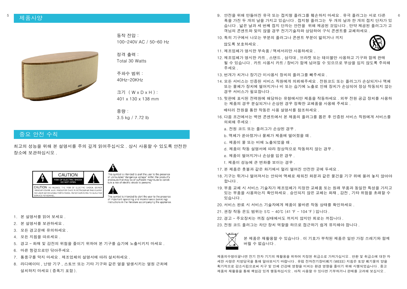

동작 전압 : 100-240V AC / 50-60 Hz

정격 출력 : Total 30 Watts

주파수 범위 : 40Hz-20KHz

크기 ( W x D x H ) : 401 x 130 x 138 mm

중량 : 3.5 kg / 7.72 lb

#### 중요 안전 수칙

최고의 성능을 위해 본 설명서를 주의 깊게 읽어주십시오 . 상시 사용할 수 있도록 안전한 장소에 보관하십시오 .

41



This symbol is intended to alert the user to the presence of uninsulated "dangerous voltage" within the product's enclosure that may be of sufficient magnitude to constitute a risk of electric shock to persons

CAUTION: TO REDUCE THE RISK OF ELECTRIC SHOCK, DO NO REMOVE COVER. AVIS: RISQUE DE CHOC ÉLECTRIQUE-NE PAS OUVRIF NO USER-SERVICEABLE PARTS INSIDE. REFER SERVICING TO QUALIFIED SERVICE PERSONNEL

This symbol is intended to alert the user to the presence of important operating and maintenance (servicing instructions in the literature accompanying the appliance

- 1. 본 설명서를 읽어 보세요 .
- 2. 본 설명서를 보관하세요 .
- 3. 모든 경고문에 유의하세요
- 4. 모든 지침을 따르세요 .
- 5. 경고 화재 및 감전의 위험을 줄이기 위하여 본 기구를 습기에 노출시키지 마세요 .
- 6. 마른 헝겊으로만 닦아주세요 .
- 7. 통풍구를 막지 마세요 . 제조업체의 설명서에 따라 설치하세요 .
- 8. 라디에이터 , 난방 기구 , 스토브 또는 기타 기구와 같은 열을 발생시키는 열원 근처에 설치하지 마세요 ( 증폭기 포함 ).
- 5 6 9. 안전을 위해 만들어진 유극 또는 접지형 플러그를 훼손하지 마세요 . 유극 플러그는 서로 다른 폭을 가진 두 개의 날을 가지고 있습니다 . 접지형 플러그는 두 개의 날과 한 개의 접지 단자가 있 습니다 . 넓은 날과 세 번째 접지 단자는 안전을 위해 제공된 것입니다 . 만약 제공된 플러그가 고 객님의 콘센트와 맞지 않을 경우 전기기술자와 상담하여 구식 콘센트를 교체하세요 .
	- 10. 특히 기구에서 나오는 부분의 플러그나 콘센트 부분이 밟히거나 끼지 않도록 보호하세요 .



- 11. 제조업체가 명시한 부속품 / 액세서리만 사용하세요 .
- 12. 제조업체가 명시한 카트 , 스탠드 , 삼각대 , 브라켓 또는 테이블만 사용하고 기구와 함께 판매 될 수 있습니다 . 카트 사용시 카트 / 장비가 함께 넘어질 수 있으므로 부상을 입지 않도록 주의해 주세요 .
- 13. 번개가 치거나 장기간 미사용시 장치의 플러그를 빼주세요 .
- 14. 모든 서비스는 인증된 서비스 직원에게 의뢰해주세요 . 전원코드 또는 플러그가 손상되거나 액체 또는 물체가 장치에 떨어지거나 비 또는 습기에 노출로 인해 장치가 손상되어 정상 작동되지 않는 경우 서비스가 필요합니다.
- 15. 뒷판에 표시된 전력원에 해당하는 유형에서만 제품을 작동하세요 . 외부 전원 공급 장치를 사용하 는 제품의 경우 분실되거나 손상된 경우 정확한 교체품을 사용해 주세요 .

배터리 전원을 통한 작동은 사용 설명서를 참조하세요 .

- 16. 다음 조건에서는 벽면 콘센트에서 본 제품의 플러그를 뽑은 후 인증된 서비스 직원에게 서비스를 의뢰해 주세요 :
	- a. 전원 코드 또는 플러그가 손상된 경우 .
	- b. 액체가 쏟아졌거나 물체가 제품에 떨어졌을 때 .
	- c. 제품이 물 또는 비에 노출되었을 때 .
	- d. 제품이 작동 설명서에 따라 정상적으로 작동하지 않는 경우 .
	- e. 제품이 떨어지거나 손상을 입은 경우 .
	- f. 제품이 성능에 큰 변화를 보이는 경우 .
- 17. 본 제품은 촛불과 같은 화기에서 멀리 떨어진 안전한 곳에 두세요 .
- 18. 기구는 튀거나 떨어져서는 안되며 액체로 채워진 화분과 같은 물건을 기구 위에 올려 놓지 않아야 합니다 .
- 19. 부품 교체 시 서비스 기술자가 제조업체가 지정한 교체품 또는 원래 부품과 동일한 특성을 가지고 있는 부품을 사용하는지 확인하세요 . 승인되지 않은 교체는 화재 , 감전 , 기타 위험을 초래할 수 있습니다 .
- 20. 서비스 완료 시 서비스 기술자에게 제품이 올바른 작동 상태를 확인하세요 .
- 21. 권장 작동 온도 범위는 5℃ 40℃ (41 ℉ 104 ℉ ) 입니다 .
- 22. 경고 주요장치는 꺼짐 상태에서도 꺼지지 않지만 회로는 꺼집니다 .
- 23. 전원 코드 플러그는 차단 장치 역할을 하므로 접근하기 쉽게 유지해야 합니다 .



본 제품은 재활용할 수 있습니다 . 이 기호가 부착된 제품은 일반 가정 쓰레기와 함께 버릴 수 없습니다 .

제품의수명이끝나면 전기 전자 기기의 재활용을 위하여 지정된 취급소로 가져가십시오 . 반환 및 취급소에 대한 자 세한 사항은 지방당국을 통해 알아보시기 바랍니다 . 유럽 전자전기장비폐기 (WEEE) 지침은 토양 폐기물의 양을 획기적으로 감소시킴으로써 지구 및 인체 건강에 영향을 미치는 환경 영향을 줄이기 위해 시행되었습니다 . 중고 제품의 재활용을 통해 책임감 있게 행동하십시오 . 아직 사용할 수 있다면 기부하거나 판매를 고려해 보십시오 .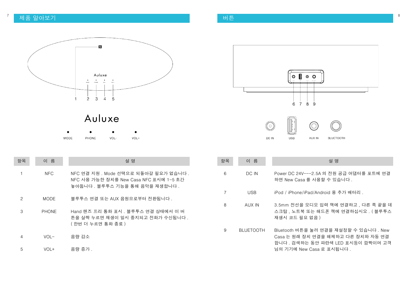# 제품 알아보기 버튼 <sup>7</sup> <sup>8</sup>



## Auluxe  $\bullet$  $\bullet$

VOL-

PHONE

 $\bullet$ 

 $VOL+$ 

 $\bullet$ 

MODE

| 항목 | 이 름          | 설 명                                                                                                                |
|----|--------------|--------------------------------------------------------------------------------------------------------------------|
|    | NFC.         | NFC 연결 지원 . Mode 선택으로 되돌아갈 필요가 없습니다 .<br>NFC 사용 가능한 장치를 New Casa NFC 표시에 1-5 초간<br>놓아둡니다 . 블루투스 기능을 통해 음악을 재생합니다 . |
| 2  | <b>MODE</b>  | 블루투스 연결 또는 AUX 음원으로부터 전환됩니다.                                                                                       |
| З  | <b>PHONE</b> | Hand 핸즈 프리 통화 표시 . 블루투스 연결 상태에서 이 버<br>튼을 살짝 누르면 재생이 일시 중지되고 전화가 수신됩니다 .<br>( 한번 더 누르면 통화 종료 )                     |
| 4  | $V \cap I -$ | 음량 감소                                                                                                              |

음량 증가 . 5 VOL+



| 항목 | 이 름              | 설 명                                                                                                                                             |
|----|------------------|-------------------------------------------------------------------------------------------------------------------------------------------------|
| 6  | DC IN            | Power DC 24V---2.5A 의 전원 공급 어댑터를 포트에 연결<br>하면 New Casa 를 사용할 수 있습니다 .                                                                           |
| 7  | USB.             | iPod / iPhone/iPad/Android 용 추가 배터리 .                                                                                                           |
| 8  | AUX IN           | 3.5mm 전선을 오디오 입력 잭에 연결하고, 다른 쪽 끝을 데<br>스크탑 . 노트북 또는 해드폰 잭에 연결하십시오 . ( 블루투스<br>재생시 코드 필요 없음 )                                                    |
| 9  | <b>BLUETOOTH</b> | Bluetooth 버튼을 눌러 연결을 재설정할 수 있습니다 . New<br>Casa 는 원래 장치 연결을 해제하고 다른 장치와 자동 연결<br>합니다 . 검색하는 동안 파란색 LED 표시등이 깜빡이며 고객<br>님의 기기에 New Casa 로 표시됩니다 . |